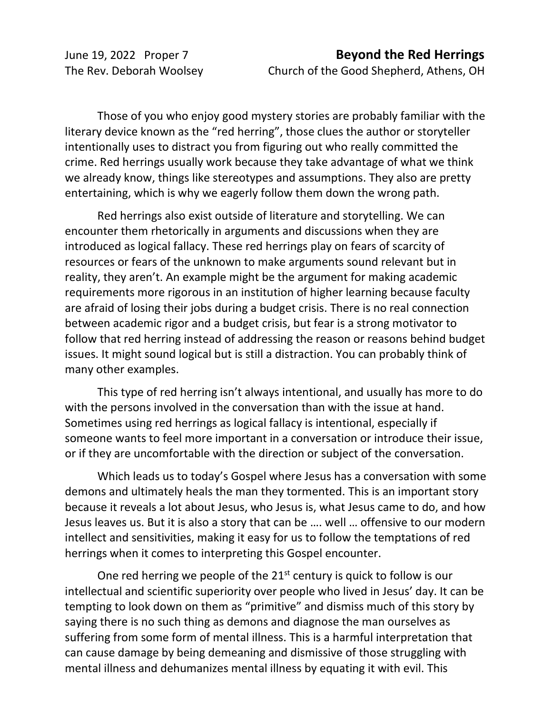The Rev. Deborah Woolsey Church of the Good Shepherd, Athens, OH

Those of you who enjoy good mystery stories are probably familiar with the literary device known as the "red herring", those clues the author or storyteller intentionally uses to distract you from figuring out who really committed the crime. Red herrings usually work because they take advantage of what we think we already know, things like stereotypes and assumptions. They also are pretty entertaining, which is why we eagerly follow them down the wrong path.

Red herrings also exist outside of literature and storytelling. We can encounter them rhetorically in arguments and discussions when they are introduced as logical fallacy. These red herrings play on fears of scarcity of resources or fears of the unknown to make arguments sound relevant but in reality, they aren't. An example might be the argument for making academic requirements more rigorous in an institution of higher learning because faculty are afraid of losing their jobs during a budget crisis. There is no real connection between academic rigor and a budget crisis, but fear is a strong motivator to follow that red herring instead of addressing the reason or reasons behind budget issues. It might sound logical but is still a distraction. You can probably think of many other examples.

This type of red herring isn't always intentional, and usually has more to do with the persons involved in the conversation than with the issue at hand. Sometimes using red herrings as logical fallacy is intentional, especially if someone wants to feel more important in a conversation or introduce their issue, or if they are uncomfortable with the direction or subject of the conversation.

Which leads us to today's Gospel where Jesus has a conversation with some demons and ultimately heals the man they tormented. This is an important story because it reveals a lot about Jesus, who Jesus is, what Jesus came to do, and how Jesus leaves us. But it is also a story that can be …. well … offensive to our modern intellect and sensitivities, making it easy for us to follow the temptations of red herrings when it comes to interpreting this Gospel encounter.

One red herring we people of the  $21<sup>st</sup>$  century is quick to follow is our intellectual and scientific superiority over people who lived in Jesus' day. It can be tempting to look down on them as "primitive" and dismiss much of this story by saying there is no such thing as demons and diagnose the man ourselves as suffering from some form of mental illness. This is a harmful interpretation that can cause damage by being demeaning and dismissive of those struggling with mental illness and dehumanizes mental illness by equating it with evil. This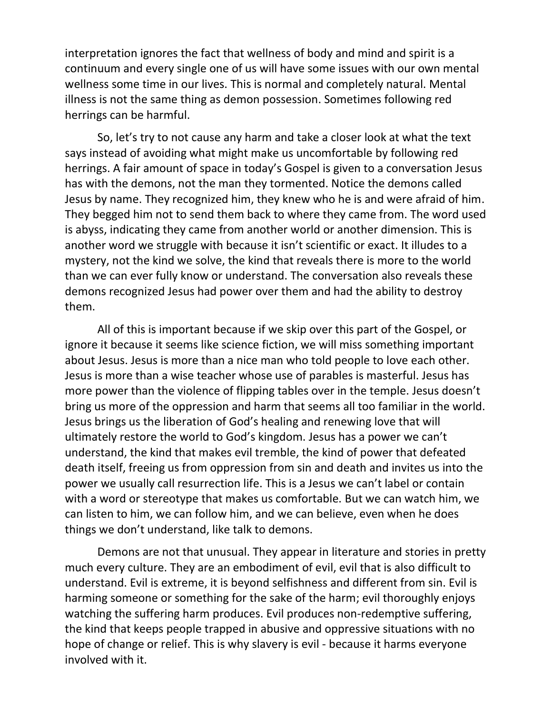interpretation ignores the fact that wellness of body and mind and spirit is a continuum and every single one of us will have some issues with our own mental wellness some time in our lives. This is normal and completely natural. Mental illness is not the same thing as demon possession. Sometimes following red herrings can be harmful.

So, let's try to not cause any harm and take a closer look at what the text says instead of avoiding what might make us uncomfortable by following red herrings. A fair amount of space in today's Gospel is given to a conversation Jesus has with the demons, not the man they tormented. Notice the demons called Jesus by name. They recognized him, they knew who he is and were afraid of him. They begged him not to send them back to where they came from. The word used is abyss, indicating they came from another world or another dimension. This is another word we struggle with because it isn't scientific or exact. It illudes to a mystery, not the kind we solve, the kind that reveals there is more to the world than we can ever fully know or understand. The conversation also reveals these demons recognized Jesus had power over them and had the ability to destroy them.

All of this is important because if we skip over this part of the Gospel, or ignore it because it seems like science fiction, we will miss something important about Jesus. Jesus is more than a nice man who told people to love each other. Jesus is more than a wise teacher whose use of parables is masterful. Jesus has more power than the violence of flipping tables over in the temple. Jesus doesn't bring us more of the oppression and harm that seems all too familiar in the world. Jesus brings us the liberation of God's healing and renewing love that will ultimately restore the world to God's kingdom. Jesus has a power we can't understand, the kind that makes evil tremble, the kind of power that defeated death itself, freeing us from oppression from sin and death and invites us into the power we usually call resurrection life. This is a Jesus we can't label or contain with a word or stereotype that makes us comfortable. But we can watch him, we can listen to him, we can follow him, and we can believe, even when he does things we don't understand, like talk to demons.

Demons are not that unusual. They appear in literature and stories in pretty much every culture. They are an embodiment of evil, evil that is also difficult to understand. Evil is extreme, it is beyond selfishness and different from sin. Evil is harming someone or something for the sake of the harm; evil thoroughly enjoys watching the suffering harm produces. Evil produces non-redemptive suffering, the kind that keeps people trapped in abusive and oppressive situations with no hope of change or relief. This is why slavery is evil - because it harms everyone involved with it.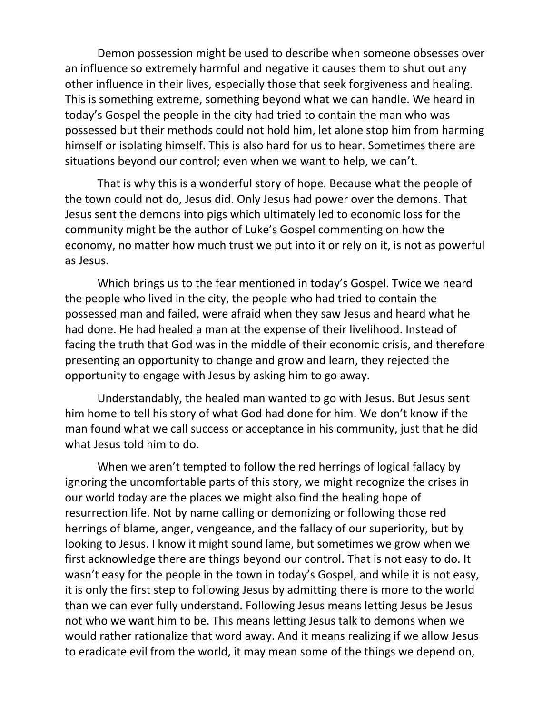Demon possession might be used to describe when someone obsesses over an influence so extremely harmful and negative it causes them to shut out any other influence in their lives, especially those that seek forgiveness and healing. This is something extreme, something beyond what we can handle. We heard in today's Gospel the people in the city had tried to contain the man who was possessed but their methods could not hold him, let alone stop him from harming himself or isolating himself. This is also hard for us to hear. Sometimes there are situations beyond our control; even when we want to help, we can't.

That is why this is a wonderful story of hope. Because what the people of the town could not do, Jesus did. Only Jesus had power over the demons. That Jesus sent the demons into pigs which ultimately led to economic loss for the community might be the author of Luke's Gospel commenting on how the economy, no matter how much trust we put into it or rely on it, is not as powerful as Jesus.

Which brings us to the fear mentioned in today's Gospel. Twice we heard the people who lived in the city, the people who had tried to contain the possessed man and failed, were afraid when they saw Jesus and heard what he had done. He had healed a man at the expense of their livelihood. Instead of facing the truth that God was in the middle of their economic crisis, and therefore presenting an opportunity to change and grow and learn, they rejected the opportunity to engage with Jesus by asking him to go away.

Understandably, the healed man wanted to go with Jesus. But Jesus sent him home to tell his story of what God had done for him. We don't know if the man found what we call success or acceptance in his community, just that he did what Jesus told him to do.

When we aren't tempted to follow the red herrings of logical fallacy by ignoring the uncomfortable parts of this story, we might recognize the crises in our world today are the places we might also find the healing hope of resurrection life. Not by name calling or demonizing or following those red herrings of blame, anger, vengeance, and the fallacy of our superiority, but by looking to Jesus. I know it might sound lame, but sometimes we grow when we first acknowledge there are things beyond our control. That is not easy to do. It wasn't easy for the people in the town in today's Gospel, and while it is not easy, it is only the first step to following Jesus by admitting there is more to the world than we can ever fully understand. Following Jesus means letting Jesus be Jesus not who we want him to be. This means letting Jesus talk to demons when we would rather rationalize that word away. And it means realizing if we allow Jesus to eradicate evil from the world, it may mean some of the things we depend on,